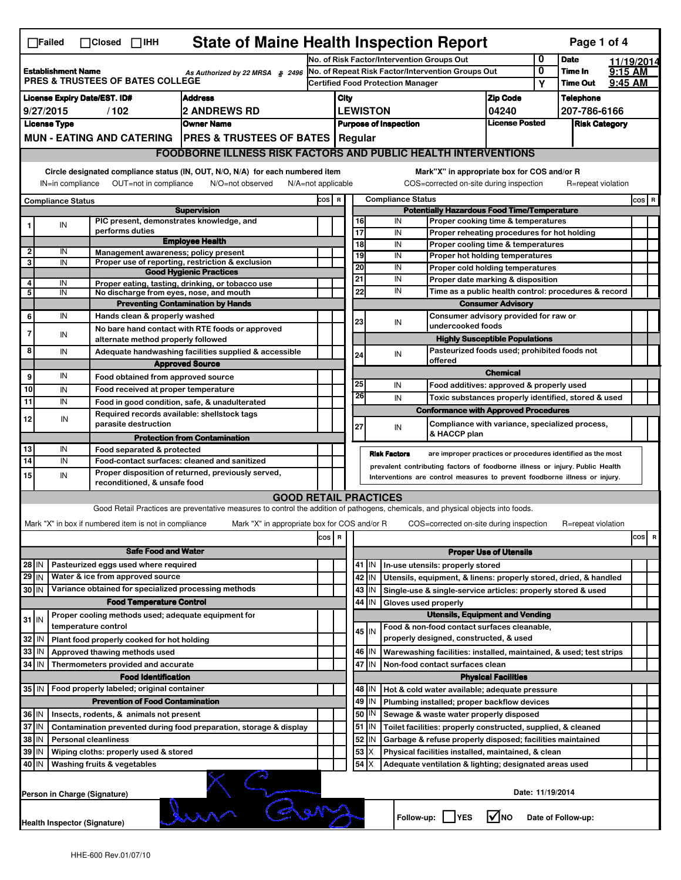| <b>State of Maine Health Inspection Report</b><br>Page 1 of 4<br>$\Box$ Failed<br>$\Box$ Closed $\Box$ IHH                                                                                                                                                                                |                                                                                                         |                                                       |                                                                                                                                   |                          |                                                                                                                                                            |                                            |                                             |                                                                    |                                                                                           |                 |                      |                            |           |            |  |  |
|-------------------------------------------------------------------------------------------------------------------------------------------------------------------------------------------------------------------------------------------------------------------------------------------|---------------------------------------------------------------------------------------------------------|-------------------------------------------------------|-----------------------------------------------------------------------------------------------------------------------------------|--------------------------|------------------------------------------------------------------------------------------------------------------------------------------------------------|--------------------------------------------|---------------------------------------------|--------------------------------------------------------------------|-------------------------------------------------------------------------------------------|-----------------|----------------------|----------------------------|-----------|------------|--|--|
|                                                                                                                                                                                                                                                                                           |                                                                                                         |                                                       |                                                                                                                                   |                          |                                                                                                                                                            | No. of Risk Factor/Intervention Groups Out |                                             |                                                                    |                                                                                           |                 |                      | <b>Date</b>                |           | 11/19/2014 |  |  |
| <b>Establishment Name</b><br>As Authorized by 22 MRSA § 2496<br>PRES & TRUSTEES OF BATES COLLEGE                                                                                                                                                                                          |                                                                                                         |                                                       |                                                                                                                                   |                          | No. of Repeat Risk Factor/Intervention Groups Out                                                                                                          |                                            |                                             |                                                                    |                                                                                           |                 | 0<br>Υ               | Time In<br><b>Time Out</b> | $9:15$ AM |            |  |  |
|                                                                                                                                                                                                                                                                                           |                                                                                                         |                                                       |                                                                                                                                   |                          |                                                                                                                                                            |                                            | <b>Certified Food Protection Manager</b>    |                                                                    |                                                                                           |                 |                      |                            | 9:45 AM   |            |  |  |
| <b>License Expiry Date/EST. ID#</b><br><b>Address</b>                                                                                                                                                                                                                                     |                                                                                                         |                                                       |                                                                                                                                   |                          | <b>Zip Code</b><br>City                                                                                                                                    |                                            |                                             |                                                                    |                                                                                           |                 |                      | <b>Telephone</b>           |           |            |  |  |
| 9/27/2015<br>/102<br><b>2 ANDREWS RD</b>                                                                                                                                                                                                                                                  |                                                                                                         |                                                       |                                                                                                                                   | <b>LEWISTON</b><br>04240 |                                                                                                                                                            |                                            |                                             |                                                                    |                                                                                           |                 | 207-786-6166         |                            |           |            |  |  |
| <b>License Type</b><br><b>Owner Name</b>                                                                                                                                                                                                                                                  |                                                                                                         |                                                       |                                                                                                                                   |                          |                                                                                                                                                            |                                            | <b>Purpose of Inspection</b>                |                                                                    | License Posted                                                                            |                 | <b>Risk Category</b> |                            |           |            |  |  |
|                                                                                                                                                                                                                                                                                           | MUN - EATING AND CATERING   PRES & TRUSTEES OF BATES   Regular                                          |                                                       |                                                                                                                                   |                          |                                                                                                                                                            |                                            |                                             |                                                                    |                                                                                           |                 |                      |                            |           |            |  |  |
|                                                                                                                                                                                                                                                                                           |                                                                                                         |                                                       | <b>FOODBORNE ILLNESS RISK FACTORS AND PUBLIC HEALTH INTERVENTIONS</b>                                                             |                          |                                                                                                                                                            |                                            |                                             |                                                                    |                                                                                           |                 |                      |                            |           |            |  |  |
| Circle designated compliance status (IN, OUT, N/O, N/A) for each numbered item<br>Mark"X" in appropriate box for COS and/or R<br>OUT=not in compliance<br>N/O=not observed<br>COS=corrected on-site during inspection<br>R=repeat violation<br>IN=in compliance<br>$N/A = not$ applicable |                                                                                                         |                                                       |                                                                                                                                   |                          |                                                                                                                                                            |                                            |                                             |                                                                    |                                                                                           |                 |                      |                            |           |            |  |  |
| cos                                                                                                                                                                                                                                                                                       |                                                                                                         |                                                       |                                                                                                                                   |                          |                                                                                                                                                            |                                            |                                             |                                                                    |                                                                                           |                 |                      |                            |           |            |  |  |
| <b>Compliance Status</b><br><b>Supervision</b>                                                                                                                                                                                                                                            |                                                                                                         |                                                       |                                                                                                                                   |                          | <b>Compliance Status</b><br>R<br><b>Potentially Hazardous Food Time/Temperature</b>                                                                        |                                            |                                             |                                                                    |                                                                                           |                 |                      |                            |           | COS R      |  |  |
|                                                                                                                                                                                                                                                                                           | IN                                                                                                      | PIC present, demonstrates knowledge, and              |                                                                                                                                   |                          |                                                                                                                                                            | 16                                         |                                             | IN                                                                 | Proper cooking time & temperatures                                                        |                 |                      |                            |           |            |  |  |
|                                                                                                                                                                                                                                                                                           |                                                                                                         | performs duties                                       |                                                                                                                                   |                          |                                                                                                                                                            | 17                                         |                                             | IN                                                                 | Proper reheating procedures for hot holding                                               |                 |                      |                            |           |            |  |  |
| $\overline{\mathbf{2}}$                                                                                                                                                                                                                                                                   | IN                                                                                                      | Management awareness; policy present                  | <b>Employee Health</b>                                                                                                            |                          |                                                                                                                                                            | 18                                         |                                             | IN                                                                 | Proper cooling time & temperatures                                                        |                 |                      |                            |           |            |  |  |
| 3                                                                                                                                                                                                                                                                                         | IN                                                                                                      |                                                       | Proper use of reporting, restriction & exclusion                                                                                  |                          |                                                                                                                                                            | 19                                         |                                             | IN                                                                 | Proper hot holding temperatures                                                           |                 |                      |                            |           |            |  |  |
|                                                                                                                                                                                                                                                                                           |                                                                                                         |                                                       | <b>Good Hygienic Practices</b>                                                                                                    |                          |                                                                                                                                                            | 20                                         |                                             | IN                                                                 | Proper cold holding temperatures                                                          |                 |                      |                            |           |            |  |  |
| 4                                                                                                                                                                                                                                                                                         | IN                                                                                                      |                                                       | Proper eating, tasting, drinking, or tobacco use                                                                                  |                          |                                                                                                                                                            | 21                                         |                                             | IN<br>IN                                                           | Proper date marking & disposition<br>Time as a public health control: procedures & record |                 |                      |                            |           |            |  |  |
| 5                                                                                                                                                                                                                                                                                         | IN                                                                                                      | No discharge from eyes, nose, and mouth               |                                                                                                                                   |                          |                                                                                                                                                            | 22                                         |                                             |                                                                    |                                                                                           |                 |                      |                            |           |            |  |  |
|                                                                                                                                                                                                                                                                                           |                                                                                                         |                                                       | <b>Preventing Contamination by Hands</b>                                                                                          |                          |                                                                                                                                                            |                                            |                                             |                                                                    | <b>Consumer Advisory</b>                                                                  |                 |                      |                            |           |            |  |  |
| 6                                                                                                                                                                                                                                                                                         | IN                                                                                                      | Hands clean & properly washed                         |                                                                                                                                   |                          |                                                                                                                                                            | 23                                         |                                             | IN                                                                 | Consumer advisory provided for raw or<br>undercooked foods                                |                 |                      |                            |           |            |  |  |
| $\overline{7}$                                                                                                                                                                                                                                                                            | IN                                                                                                      | alternate method properly followed                    | No bare hand contact with RTE foods or approved                                                                                   |                          |                                                                                                                                                            |                                            |                                             |                                                                    | <b>Highly Susceptible Populations</b>                                                     |                 |                      |                            |           |            |  |  |
| 8                                                                                                                                                                                                                                                                                         | IN                                                                                                      |                                                       | Adequate handwashing facilities supplied & accessible                                                                             |                          |                                                                                                                                                            |                                            |                                             |                                                                    | Pasteurized foods used; prohibited foods not                                              |                 |                      |                            |           |            |  |  |
|                                                                                                                                                                                                                                                                                           |                                                                                                         |                                                       | <b>Approved Source</b>                                                                                                            |                          |                                                                                                                                                            | 24                                         |                                             | IN                                                                 | offered                                                                                   |                 |                      |                            |           |            |  |  |
| 9                                                                                                                                                                                                                                                                                         | IN                                                                                                      | Food obtained from approved source                    |                                                                                                                                   |                          |                                                                                                                                                            |                                            |                                             |                                                                    |                                                                                           | <b>Chemical</b> |                      |                            |           |            |  |  |
| 10                                                                                                                                                                                                                                                                                        | IN                                                                                                      | Food received at proper temperature                   |                                                                                                                                   |                          |                                                                                                                                                            | 25                                         |                                             | IN                                                                 | Food additives: approved & properly used                                                  |                 |                      |                            |           |            |  |  |
| $\overline{11}$                                                                                                                                                                                                                                                                           | IN                                                                                                      |                                                       | Food in good condition, safe, & unadulterated                                                                                     |                          |                                                                                                                                                            | 26                                         |                                             | IN                                                                 | Toxic substances properly identified, stored & used                                       |                 |                      |                            |           |            |  |  |
|                                                                                                                                                                                                                                                                                           |                                                                                                         | Required records available: shellstock tags           |                                                                                                                                   |                          |                                                                                                                                                            |                                            |                                             |                                                                    | <b>Conformance with Approved Procedures</b>                                               |                 |                      |                            |           |            |  |  |
| 12                                                                                                                                                                                                                                                                                        | IN                                                                                                      | parasite destruction                                  |                                                                                                                                   |                          |                                                                                                                                                            | 27                                         |                                             | IN                                                                 | Compliance with variance, specialized process,                                            |                 |                      |                            |           |            |  |  |
|                                                                                                                                                                                                                                                                                           |                                                                                                         |                                                       | <b>Protection from Contamination</b>                                                                                              |                          |                                                                                                                                                            |                                            |                                             |                                                                    | & HACCP plan                                                                              |                 |                      |                            |           |            |  |  |
| 13                                                                                                                                                                                                                                                                                        | IN                                                                                                      | Food separated & protected                            |                                                                                                                                   |                          |                                                                                                                                                            |                                            |                                             | <b>Risk Factors</b>                                                | are improper practices or procedures identified as the most                               |                 |                      |                            |           |            |  |  |
| 14                                                                                                                                                                                                                                                                                        | IN                                                                                                      |                                                       | Food-contact surfaces: cleaned and sanitized                                                                                      |                          |                                                                                                                                                            |                                            |                                             |                                                                    |                                                                                           |                 |                      |                            |           |            |  |  |
| 15                                                                                                                                                                                                                                                                                        | IN                                                                                                      |                                                       | Proper disposition of returned, previously served,                                                                                |                          | prevalent contributing factors of foodborne illness or injury. Public Health<br>Interventions are control measures to prevent foodborne illness or injury. |                                            |                                             |                                                                    |                                                                                           |                 |                      |                            |           |            |  |  |
|                                                                                                                                                                                                                                                                                           |                                                                                                         | reconditioned, & unsafe food                          |                                                                                                                                   |                          |                                                                                                                                                            |                                            |                                             |                                                                    |                                                                                           |                 |                      |                            |           |            |  |  |
|                                                                                                                                                                                                                                                                                           |                                                                                                         |                                                       | <b>GOOD RETAIL PRACTICES</b>                                                                                                      |                          |                                                                                                                                                            |                                            |                                             |                                                                    |                                                                                           |                 |                      |                            |           |            |  |  |
|                                                                                                                                                                                                                                                                                           |                                                                                                         |                                                       | Good Retail Practices are preventative measures to control the addition of pathogens, chemicals, and physical objects into foods. |                          |                                                                                                                                                            |                                            |                                             |                                                                    |                                                                                           |                 |                      |                            |           |            |  |  |
|                                                                                                                                                                                                                                                                                           |                                                                                                         | Mark "X" in box if numbered item is not in compliance | Mark "X" in appropriate box for COS and/or R                                                                                      |                          |                                                                                                                                                            |                                            |                                             |                                                                    | COS=corrected on-site during inspection                                                   |                 |                      | R=repeat violation         |           |            |  |  |
|                                                                                                                                                                                                                                                                                           |                                                                                                         |                                                       |                                                                                                                                   | cos                      | R                                                                                                                                                          |                                            |                                             |                                                                    |                                                                                           |                 |                      |                            | cos<br>R  |            |  |  |
| <b>Safe Food and Water</b>                                                                                                                                                                                                                                                                |                                                                                                         |                                                       |                                                                                                                                   |                          | <b>Proper Use of Utensils</b>                                                                                                                              |                                            |                                             |                                                                    |                                                                                           |                 |                      |                            |           |            |  |  |
| Pasteurized eggs used where required<br>28 IN                                                                                                                                                                                                                                             |                                                                                                         |                                                       |                                                                                                                                   |                          |                                                                                                                                                            | 41   IN                                    |                                             | In-use utensils: properly stored                                   |                                                                                           |                 |                      |                            |           |            |  |  |
| $29$ IN                                                                                                                                                                                                                                                                                   |                                                                                                         | Water & ice from approved source                      |                                                                                                                                   |                          |                                                                                                                                                            |                                            | 42 IN                                       |                                                                    | Utensils, equipment, & linens: properly stored, dried, & handled                          |                 |                      |                            |           |            |  |  |
| Variance obtained for specialized processing methods<br>30 IN                                                                                                                                                                                                                             |                                                                                                         |                                                       |                                                                                                                                   |                          |                                                                                                                                                            | $43$ IN                                    |                                             | Single-use & single-service articles: properly stored & used       |                                                                                           |                 |                      |                            |           |            |  |  |
| <b>Food Temperature Control</b>                                                                                                                                                                                                                                                           |                                                                                                         |                                                       |                                                                                                                                   |                          |                                                                                                                                                            | 44                                         | IN                                          | Gloves used properly                                               |                                                                                           |                 |                      |                            |           |            |  |  |
| $31$ IN                                                                                                                                                                                                                                                                                   |                                                                                                         | Proper cooling methods used; adequate equipment for   |                                                                                                                                   |                          |                                                                                                                                                            | <b>Utensils, Equipment and Vending</b>     |                                             |                                                                    |                                                                                           |                 |                      |                            |           |            |  |  |
|                                                                                                                                                                                                                                                                                           |                                                                                                         | temperature control                                   |                                                                                                                                   |                          |                                                                                                                                                            |                                            | $45$ IN                                     |                                                                    | Food & non-food contact surfaces cleanable,                                               |                 |                      |                            |           |            |  |  |
| 32                                                                                                                                                                                                                                                                                        | IN                                                                                                      | Plant food properly cooked for hot holding            |                                                                                                                                   |                          |                                                                                                                                                            |                                            |                                             |                                                                    | properly designed, constructed, & used                                                    |                 |                      |                            |           |            |  |  |
| 33                                                                                                                                                                                                                                                                                        | IN                                                                                                      | Approved thawing methods used                         |                                                                                                                                   |                          |                                                                                                                                                            |                                            | 46   IN                                     | Warewashing facilities: installed, maintained, & used; test strips |                                                                                           |                 |                      |                            |           |            |  |  |
| 34                                                                                                                                                                                                                                                                                        | IN                                                                                                      | Thermometers provided and accurate                    |                                                                                                                                   |                          |                                                                                                                                                            |                                            | 47 IN                                       |                                                                    | Non-food contact surfaces clean                                                           |                 |                      |                            |           |            |  |  |
|                                                                                                                                                                                                                                                                                           |                                                                                                         | <b>Food Identification</b>                            |                                                                                                                                   |                          | <b>Physical Facilities</b>                                                                                                                                 |                                            |                                             |                                                                    |                                                                                           |                 |                      |                            |           |            |  |  |
| 35 IN   Food properly labeled; original container                                                                                                                                                                                                                                         |                                                                                                         |                                                       |                                                                                                                                   |                          | 48   IN<br>Hot & cold water available; adequate pressure                                                                                                   |                                            |                                             |                                                                    |                                                                                           |                 |                      |                            |           |            |  |  |
| <b>Prevention of Food Contamination</b>                                                                                                                                                                                                                                                   |                                                                                                         |                                                       |                                                                                                                                   |                          | 49                                                                                                                                                         | IN                                         | Plumbing installed; proper backflow devices |                                                                    |                                                                                           |                 |                      |                            |           |            |  |  |
| 36 IN<br>Insects, rodents, & animals not present                                                                                                                                                                                                                                          |                                                                                                         |                                                       |                                                                                                                                   |                          | 50                                                                                                                                                         | IN                                         |                                             | Sewage & waste water properly disposed                             |                                                                                           |                 |                      |                            |           |            |  |  |
| 37<br>ΙM<br>Contamination prevented during food preparation, storage & display                                                                                                                                                                                                            |                                                                                                         |                                                       |                                                                                                                                   |                          |                                                                                                                                                            | 51                                         | IN                                          |                                                                    | Toilet facilities: properly constructed, supplied, & cleaned                              |                 |                      |                            |           |            |  |  |
| 38<br>IN<br><b>Personal cleanliness</b>                                                                                                                                                                                                                                                   |                                                                                                         |                                                       |                                                                                                                                   |                          |                                                                                                                                                            | 52                                         | ΙN                                          |                                                                    | Garbage & refuse properly disposed; facilities maintained                                 |                 |                      |                            |           |            |  |  |
| 39<br>IN<br>Wiping cloths: properly used & stored                                                                                                                                                                                                                                         |                                                                                                         |                                                       |                                                                                                                                   |                          | 53                                                                                                                                                         | х                                          |                                             | Physical facilities installed, maintained, & clean                 |                                                                                           |                 |                      |                            |           |            |  |  |
| 40 IN                                                                                                                                                                                                                                                                                     |                                                                                                         | Washing fruits & vegetables                           |                                                                                                                                   |                          |                                                                                                                                                            | 54                                         | ΙX                                          |                                                                    | Adequate ventilation & lighting; designated areas used                                    |                 |                      |                            |           |            |  |  |
|                                                                                                                                                                                                                                                                                           | Date: 11/19/2014<br>Person in Charge (Signature)                                                        |                                                       |                                                                                                                                   |                          |                                                                                                                                                            |                                            |                                             |                                                                    |                                                                                           |                 |                      |                            |           |            |  |  |
|                                                                                                                                                                                                                                                                                           | Follow-up:  <br><b>V</b> INO<br><b>YES</b><br>Date of Follow-up:<br><b>Health Inspector (Signature)</b> |                                                       |                                                                                                                                   |                          |                                                                                                                                                            |                                            |                                             |                                                                    |                                                                                           |                 |                      |                            |           |            |  |  |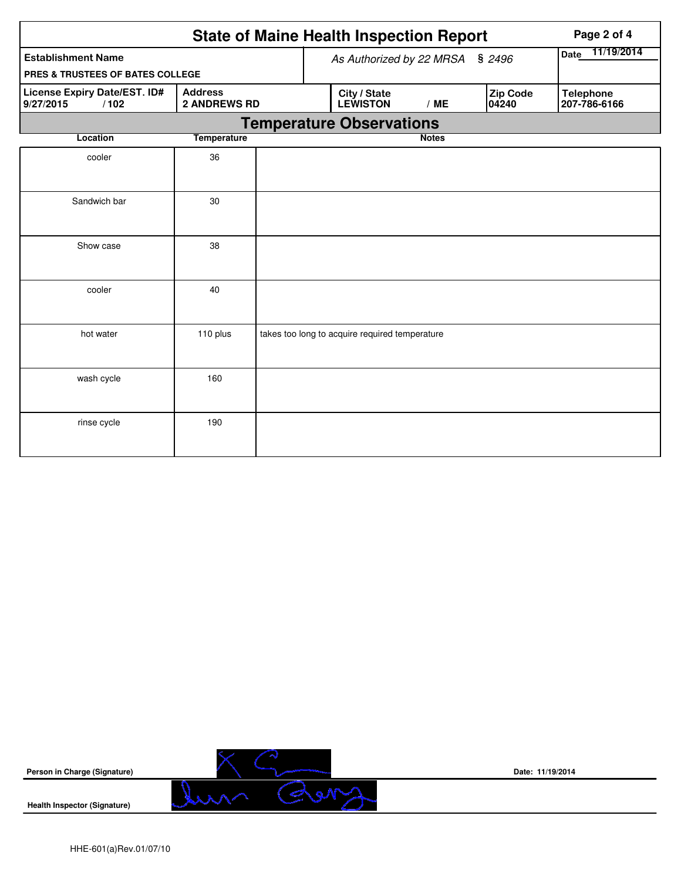|                                                                                            | Page 2 of 4        |  |  |                                                |                           |  |                          |                                  |
|--------------------------------------------------------------------------------------------|--------------------|--|--|------------------------------------------------|---------------------------|--|--------------------------|----------------------------------|
| <b>Establishment Name</b>                                                                  |                    |  |  | As Authorized by 22 MRSA                       | 11/19/2014<br><b>Date</b> |  |                          |                                  |
| PRES & TRUSTEES OF BATES COLLEGE                                                           |                    |  |  |                                                |                           |  |                          |                                  |
| License Expiry Date/EST. ID#<br><b>Address</b><br><b>2 ANDREWS RD</b><br>9/27/2015<br>/102 |                    |  |  | City / State<br><b>LEWISTON</b>                | /ME                       |  | <b>Zip Code</b><br>04240 | <b>Telephone</b><br>207-786-6166 |
|                                                                                            |                    |  |  | <b>Temperature Observations</b>                |                           |  |                          |                                  |
| Location                                                                                   | <b>Temperature</b> |  |  |                                                | <b>Notes</b>              |  |                          |                                  |
| cooler                                                                                     | 36                 |  |  |                                                |                           |  |                          |                                  |
| Sandwich bar                                                                               | 30                 |  |  |                                                |                           |  |                          |                                  |
| Show case                                                                                  | 38                 |  |  |                                                |                           |  |                          |                                  |
| cooler                                                                                     | 40                 |  |  |                                                |                           |  |                          |                                  |
| hot water                                                                                  | 110 plus           |  |  | takes too long to acquire required temperature |                           |  |                          |                                  |
| wash cycle                                                                                 | 160                |  |  |                                                |                           |  |                          |                                  |
| rinse cycle                                                                                | 190                |  |  |                                                |                           |  |                          |                                  |



**Date: 11/19/2014**

**Health Inspector (Signature)**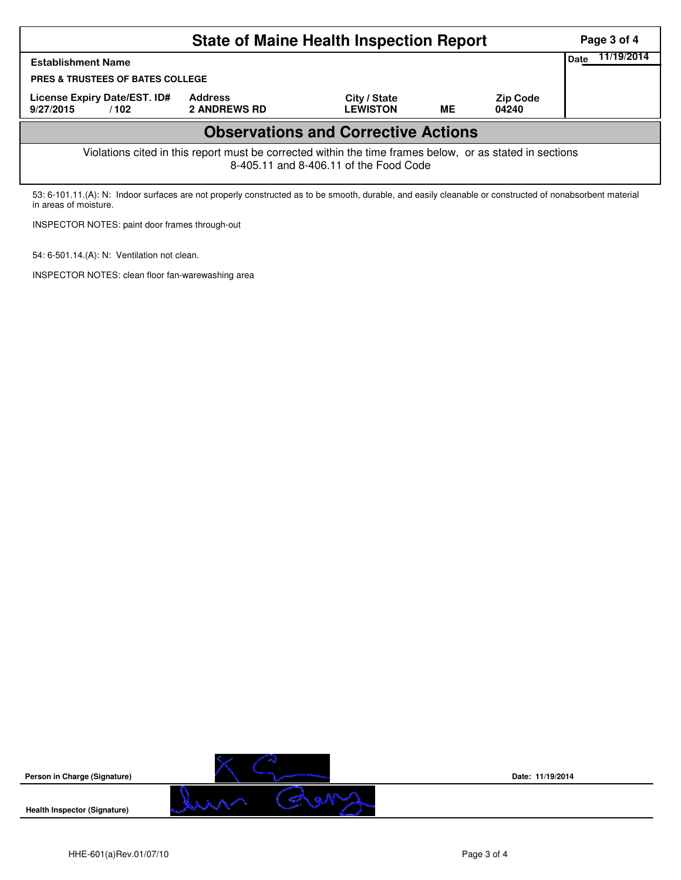|                                                                                                                                                                                   | Page 3 of 4                           |                                 |    |                          |                    |  |  |  |  |
|-----------------------------------------------------------------------------------------------------------------------------------------------------------------------------------|---------------------------------------|---------------------------------|----|--------------------------|--------------------|--|--|--|--|
| <b>Establishment Name</b>                                                                                                                                                         |                                       |                                 |    |                          | 11/19/2014<br>Date |  |  |  |  |
| <b>PRES &amp; TRUSTEES OF BATES COLLEGE</b>                                                                                                                                       |                                       |                                 |    |                          |                    |  |  |  |  |
| License Expiry Date/EST. ID#<br>9/27/2015<br>/102                                                                                                                                 | <b>Address</b><br><b>2 ANDREWS RD</b> | City / State<br><b>LEWISTON</b> | ME | <b>Zip Code</b><br>04240 |                    |  |  |  |  |
| <b>Observations and Corrective Actions</b>                                                                                                                                        |                                       |                                 |    |                          |                    |  |  |  |  |
| Violations cited in this report must be corrected within the time frames below, or as stated in sections<br>8-405.11 and 8-406.11 of the Food Code                                |                                       |                                 |    |                          |                    |  |  |  |  |
| 53: 6-101.11.(A): N: Indoor surfaces are not properly constructed as to be smooth, durable, and easily cleanable or constructed of nonabsorbent material<br>in areas of moisture. |                                       |                                 |    |                          |                    |  |  |  |  |



**Date: 11/19/2014**

**Health Inspector (Signature)** 

INSPECTOR NOTES: paint door frames through-out

INSPECTOR NOTES: clean floor fan-warewashing area

54: 6-501.14.(A): N: Ventilation not clean.